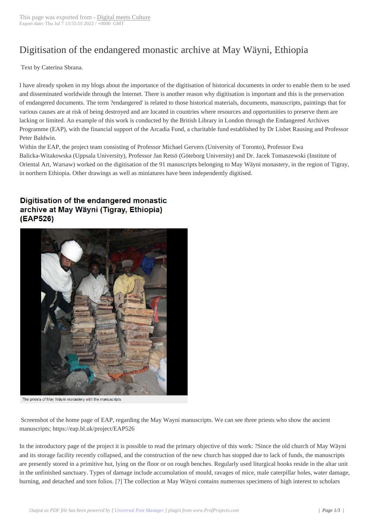## Digitisation of the [endangered mo](https://www.digitalmeetsculture.net/?p=56906)nastic archive at May Wäyni, Ethiopia

 Text by Caterina Sbrana.

I have already spoken in my blogs about the importance of the digitisation of historical documents in order to enable them to be used and disseminated worldwide through the Internet. There is another reason why digitisation is important and this is the preservation of endangered documents. The term ?endangered' is related to those historical materials, documents, manuscripts, paintings that for various causes are at risk of being destroyed and are located in countries where resources and opportunities to preserve them are lacking or limited. An example of this work is conducted by the British Library in London through the Endangered Archives Programme (EAP), with the financial support of the Arcadia Fund, a charitable fund established by Dr Lisbet Rausing and Professor Peter Baldwin.

Within the EAP, the project team consisting of Professor Michael Gervers (University of Toronto), Professor Ewa Balicka-Witakowska (Uppsala University), Professor Jan Retsö (Göteborg University) and Dr. Jacek Tomaszewski (Institute of Oriental Art, Warsaw) worked on the digitisation of the 91 manuscripts belonging to May Wäyni monastery, in the region of Tigray, in northern Ethiopia. Other drawings as well as miniatures have been independently digitised.

## Digitisation of the endangered monastic archive at May Wäyni (Tigray, Ethiopia) (EAP526)



The priests of May Wäyni monastery with the manuscripts

 Screenshot of the home page of EAP, regarding the May Wayni manuscripts. We can see three priests who show the ancient manuscripts; https://eap.bl.uk/project/EAP526

In the introductory page of the project it is possible to read the primary objective of this work: ?Since the old church of May Wäyni and its storage facility recently collapsed, and the construction of the new church has stopped due to lack of funds, the manuscripts are presently stored in a primitive hut, lying on the floor or on rough benches. Regularly used liturgical books reside in the altar unit in the unfinished sanctuary. Types of damage include accumulation of mould, ravages of mice, male caterpillar holes, water damage, burning, and detached and torn folios. [?] The collection at May Wäyni contains numerous specimens of high interest to scholars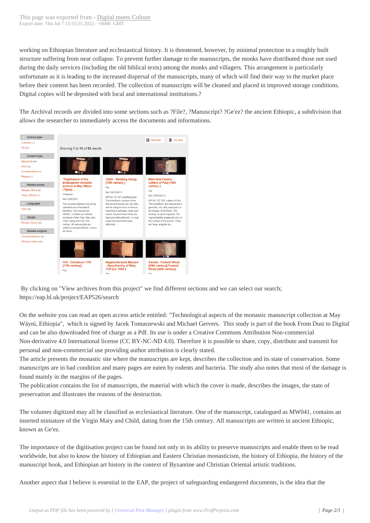working on Ethiopian literatur[e and ecclesiastical his](https://www.digitalmeetsculture.net/?p=56906)tory. It is threatened, however, by minimal protection in a roughly built structure suffering from near collapse. To prevent further damage to the manuscripts, the monks have distributed those not used during the daily services (including the old biblical texts) among the monks and villagers. This arrangement is particularly unfortunate as it is leading to the increased dispersal of the manuscripts, many of which will find their way to the market place before their content has been recorded. The collection of manuscripts will be cleaned and placed in improved storage conditions. Digital copies will be deposited with local and international institutions.?

The Archival records are divided into some sections such as ?File?, ?Manuscript? ?Ge'ez? the ancient Ethiopic, a subdivision that allows the researcher to immediately access the documents and informations.



 By clicking on "View archives from this project" we find different sections and we can select our search; https://eap.bl.uk/project/EAP526/search

On the website you can read an open access article entitled: "Technological aspects of the monastic manuscript collection at May Wäyni, Ethiopia", which is signed by Jacek Tomaszewski and Michael Gervers. This study is part of the book From Dust to Digital and can be also downloaded free of charge as a Pdf. Its use is under a Creative Commons Attribution Non-commercial Non-derivative 4.0 International license (CC BY-NC-ND 4.0). Therefore it is possible to share, copy, distribute and transmit for personal and non-commercial use providing author attribution is clearly stated.

The article presents the monastic site where the manuscripts are kept, describes the collection and its state of conservation. Some manuscripts are in bad condition and many pages are eaten by rodents and bacteria. The study also notes that most of the damage is found mainly in the margins of the pages.

The publication contains the list of manuscripts, the material with which the cover is made, describes the images, the state of preservation and illustrates the reasons of the destruction.

The volumes digitized may all be classified as ecclesiastical literature. One of the manuscript, catalogued as MW041, contains an inserted miniature of the Virgin Mary and Child, dating from the 15th century. All manuscripts are written in ancient Ethiopic, known as Ge'ez.

The importance of the digitisation project can be found not only in its ability to preserve manuscripts and enable them to be read worldwide, but also to know the history of Ethiopian and Eastern Christian monasticism, the history of Ethiopia, the history of the manuscript book, and Ethiopian art history in the context of Byzantine and Christian Oriental artistic traditions.

Another aspect that I believe is essential in the EAP, the project of safeguarding endangered documents, is the idea that the